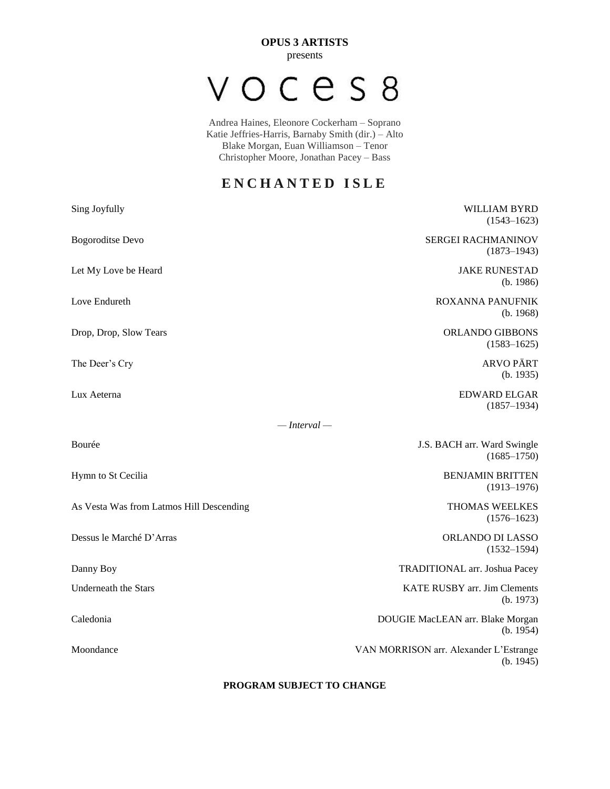**OPUS 3 ARTISTS** presents

## VOCES8

Andrea Haines, Eleonore Cockerham – Soprano Katie Jeffries-Harris, Barnaby Smith (dir.) – Alto Blake Morgan, Euan Williamson – Tenor Christopher Moore, Jonathan Pacey – Bass

## **E N C H A N T E D I S L E**

| Sing Joyfully                            | <b>WILLIAM BYRD</b><br>$(1543 - 1623)$              |
|------------------------------------------|-----------------------------------------------------|
| <b>Bogoroditse Devo</b>                  | SERGEI RACHMANINOV<br>$(1873 - 1943)$               |
| Let My Love be Heard                     | <b>JAKE RUNESTAD</b><br>(b. 1986)                   |
| Love Endureth                            | <b>ROXANNA PANUFNIK</b><br>(b. 1968)                |
| Drop, Drop, Slow Tears                   | <b>ORLANDO GIBBONS</b><br>$(1583 - 1625)$           |
| The Deer's Cry                           | <b>ARVO PÄRT</b><br>(b. 1935)                       |
| Lux Aeterna                              | <b>EDWARD ELGAR</b><br>$(1857 - 1934)$              |
| $-$ Interval $-$                         |                                                     |
| Bourée                                   | J.S. BACH arr. Ward Swingle<br>$(1685 - 1750)$      |
| Hymn to St Cecilia                       | <b>BENJAMIN BRITTEN</b><br>$(1913 - 1976)$          |
| As Vesta Was from Latmos Hill Descending | <b>THOMAS WEELKES</b><br>$(1576 - 1623)$            |
| Dessus le Marché D'Arras                 | ORLANDO DI LASSO<br>$(1532 - 1594)$                 |
| Danny Boy                                | TRADITIONAL arr. Joshua Pacey                       |
| <b>Underneath the Stars</b>              | KATE RUSBY arr. Jim Clements<br>(b. 1973)           |
| Caledonia                                | DOUGIE MacLEAN arr. Blake Morgan<br>(b. 1954)       |
| Moondance                                | VAN MORRISON arr. Alexander L'Estrange<br>(b. 1945) |

#### **PROGRAM SUBJECT TO CHANGE**